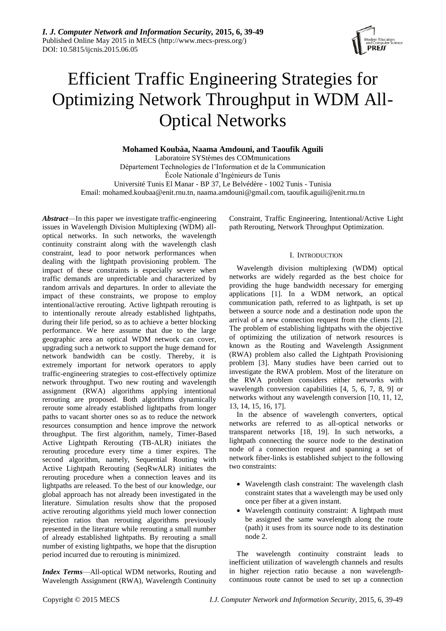

# Efficient Traffic Engineering Strategies for Optimizing Network Throughput in WDM All-Optical Networks

**Mohamed Koubàa, Naama Amdouni, and Taoufik Aguili**

Laboratoire SYStèmes des COMmunications Département Technologies de l'Information et de la Communication École Nationale d'Ingénieurs de Tunis Université Tunis El Manar - BP 37, Le Belvédère - 1002 Tunis - Tunisia Email: mohamed.koubaa@enit.rnu.tn, naama.amdouni@gmail.com, taoufik.aguili@enit.rnu.tn

*Abstract*—In this paper we investigate traffic-engineering issues in Wavelength Division Multiplexing (WDM) alloptical networks. In such networks, the wavelength continuity constraint along with the wavelength clash constraint, lead to poor network performances when dealing with the lightpath provisioning problem. The impact of these constraints is especially severe when traffic demands are unpredictable and characterized by random arrivals and departures. In order to alleviate the impact of these constraints, we propose to employ intentional/active rerouting. Active lightpath rerouting is to intentionally reroute already established lightpaths, during their life period, so as to achieve a better blocking performance. We here assume that due to the large geographic area an optical WDM network can cover, upgrading such a network to support the huge demand for network bandwidth can be costly. Thereby, it is extremely important for network operators to apply traffic-engineering strategies to cost-effectively optimize network throughput. Two new routing and wavelength assignment (RWA) algorithms applying intentional rerouting are proposed. Both algorithms dynamically reroute some already established lightpaths from longer paths to vacant shorter ones so as to reduce the network resources consumption and hence improve the network throughput. The first algorithm, namely, Timer-Based Active Lightpath Rerouting (TB-ALR) initiates the rerouting procedure every time a timer expires. The second algorithm, namely, Sequential Routing with Active Lightpath Rerouting (SeqRwALR) initiates the rerouting procedure when a connection leaves and its lightpaths are released. To the best of our knowledge, our global approach has not already been investigated in the literature. Simulation results show that the proposed active rerouting algorithms yield much lower connection rejection ratios than rerouting algorithms previously presented in the literature while rerouting a small number of already established lightpaths. By rerouting a small number of existing lightpaths, we hope that the disruption period incurred due to rerouting is minimized.

*Index Terms*—All-optical WDM networks, Routing and Wavelength Assignment (RWA), Wavelength Continuity

Constraint, Traffic Engineering, Intentional/Active Light path Rerouting, Network Throughput Optimization.

## I. INTRODUCTION

Wavelength division multiplexing (WDM) optical networks are widely regarded as the best choice for providing the huge bandwidth necessary for emerging applications [1]. In a WDM network, an optical communication path, referred to as lightpath, is set up between a source node and a destination node upon the arrival of a new connection request from the clients [2]. The problem of establishing lightpaths with the objective of optimizing the utilization of network resources is known as the Routing and Wavelength Assignment (RWA) problem also called the Lightpath Provisioning problem [3]. Many studies have been carried out to investigate the RWA problem. Most of the literature on the RWA problem considers either networks with wavelength conversion capabilities [4, 5, 6, 7, 8, 9] or networks without any wavelength conversion [10, 11, 12, 13, 14, 15, 16, 17].

In the absence of wavelength converters, optical networks are referred to as all-optical networks or transparent networks [18, 19]. In such networks, a lightpath connecting the source node to the destination node of a connection request and spanning a set of network fiber-links is established subject to the following two constraints:

- Wavelength clash constraint: The wavelength clash constraint states that a wavelength may be used only once per fiber at a given instant.
- Wavelength continuity constraint: A lightpath must be assigned the same wavelength along the route (path) it uses from its source node to its destination node 2.

The wavelength continuity constraint leads to inefficient utilization of wavelength channels and results in higher rejection ratio because a non wavelengthcontinuous route cannot be used to set up a connection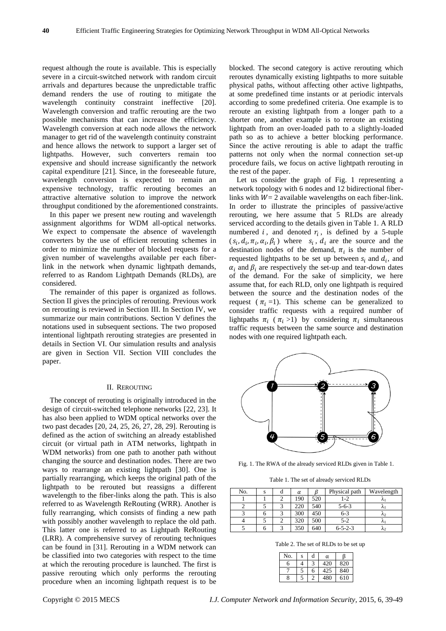request although the route is available. This is especially severe in a circuit-switched network with random circuit arrivals and departures because the unpredictable traffic demand renders the use of routing to mitigate the wavelength continuity constraint ineffective [20]. Wavelength conversion and traffic rerouting are the two possible mechanisms that can increase the efficiency. Wavelength conversion at each node allows the network manager to get rid of the wavelength continuity constraint and hence allows the network to support a larger set of lightpaths. However, such converters remain too expensive and should increase significantly the network capital expenditure [21]. Since, in the foreseeable future, wavelength conversion is expected to remain an expensive technology, traffic rerouting becomes an attractive alternative solution to improve the network throughput conditioned by the aforementioned constraints.

In this paper we present new routing and wavelength assignment algorithms for WDM all-optical networks. We expect to compensate the absence of wavelength converters by the use of efficient rerouting schemes in order to minimize the number of blocked requests for a given number of wavelengths available per each fiberlink in the network when dynamic lightpath demands, referred to as Random Lightpath Demands (RLDs), are considered.

The remainder of this paper is organized as follows. Section II gives the principles of rerouting. Previous work on rerouting is reviewed in Section III. In Section IV, we summarize our main contributions. Section V defines the notations used in subsequent sections. The two proposed intentional lightpath rerouting strategies are presented in details in Section VI. Our simulation results and analysis are given in Section VII. Section VIII concludes the paper.

## II. REROUTING

The concept of rerouting is originally introduced in the design of circuit-switched telephone networks [22, 23]. It has also been applied to WDM optical networks over the two past decades [20, 24, 25, 26, 27, 28, 29]. Rerouting is defined as the action of switching an already established circuit (or virtual path in ATM networks, lightpath in WDM networks) from one path to another path without changing the source and destination nodes. There are two ways to rearrange an existing lightpath [30]. One is partially rearranging, which keeps the original path of the lightpath to be rerouted but reassigns a different wavelength to the fiber-links along the path. This is also referred to as Wavelength ReRouting (WRR). Another is fully rearranging, which consists of finding a new path with possibly another wavelength to replace the old path. This latter one is referred to as Lightpath ReRouting (LRR). A comprehensive survey of rerouting techniques can be found in [31]. Rerouting in a WDM network can be classified into two categories with respect to the time at which the rerouting procedure is launched. The first is passive rerouting which only performs the rerouting procedure when an incoming lightpath request is to be

blocked. The second category is active rerouting which reroutes dynamically existing lightpaths to more suitable physical paths, without affecting other active lightpaths, at some predefined time instants or at periodic intervals according to some predefined criteria. One example is to reroute an existing lightpath from a longer path to a shorter one, another example is to reroute an existing lightpath from an over-loaded path to a slightly-loaded path so as to achieve a better blocking performance. Since the active rerouting is able to adapt the traffic patterns not only when the normal connection set-up procedure fails, we focus on active lightpath rerouting in the rest of the paper.

Let us consider the graph of Fig. 1 representing a network topology with 6 nodes and 12 bidirectional fiberlinks with  $W = 2$  available wavelengths on each fiber-link. In order to illustrate the principles of passive/active rerouting, we here assume that 5 RLDs are already serviced according to the details given in Table 1. A RLD numbered i, and denoted  $r_i$ , is defined by a 5-tuple  $(s_i, d_i, \pi_i, \alpha_i, \beta_i)$  where  $s_i$ ,  $d_i$  are the source and the destination nodes of the demand,  $\pi_i$  is the number of requested lightpaths to be set up between  $s_i$  and  $d_i$ , and  $\alpha_i$  and  $\beta_i$  are respectively the set-up and tear-down dates of the demand. For the sake of simplicity, we here assume that, for each RLD, only one lightpath is required between the source and the destination nodes of the request ( $\pi$ <sub>i</sub> =1). This scheme can be generalized to consider traffic requests with a required number of lightpaths  $\pi_i$  ( $\pi_i$ >1) by considering  $\pi_i$  simultaneous traffic requests between the same source and destination nodes with one required lightpath each.



Fig. 1. The RWA of the already serviced RLDs given in Table 1.

Table 1. The set of already serviced RLDs

| No. | S | α   |     | Physical path   | Wavelength |
|-----|---|-----|-----|-----------------|------------|
|     |   | 190 | 520 | $1 - 2$         | $\sim$     |
|     |   | 220 | 540 | $5 - 6 - 3$     | $\sim$     |
|     |   | 300 | 450 | $6 - 3$         | $\sim$     |
|     |   | 320 | 500 | $5 - 2$         | $\sim$ 1   |
|     |   | 350 | 640 | $6 - 5 - 2 - 3$ | M.         |

Table 2. The set of RLDs to be set up

| No. | S | d | α   |     |
|-----|---|---|-----|-----|
| 6   |   |   | 420 | 820 |
|     | 5 | 6 | 425 | 840 |
| 8   | 5 |   | 480 | 610 |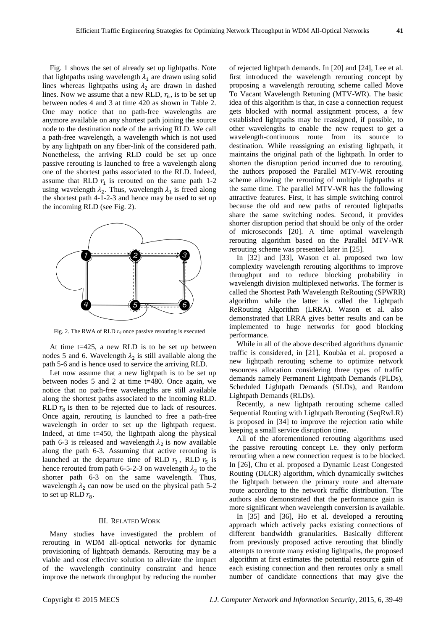Fig. 1 shows the set of already set up lightpaths. Note that lightpaths using wavelength  $\lambda_1$  are drawn using solid lines whereas lightpaths using  $\lambda_2$  are drawn in dashed lines. Now we assume that a new RLD,  $r_6$ , is to be set up between nodes 4 and 3 at time 420 as shown in Table 2. One may notice that no path-free wavelengths are anymore available on any shortest path joining the source node to the destination node of the arriving RLD. We call a path-free wavelength, a wavelength which is not used by any lightpath on any fiber-link of the considered path. Nonetheless, the arriving RLD could be set up once passive rerouting is launched to free a wavelength along one of the shortest paths associated to the RLD. Indeed, assume that RLD  $r_1$  is rerouted on the same path 1-2 using wavelength  $\lambda_2$ . Thus, wavelength  $\lambda_1$  is freed along the shortest path 4-1-2-3 and hence may be used to set up the incoming RLD (see Fig. 2).



Fig. 2. The RWA of RLD *r<sup>6</sup>* once passive rerouting is executed

At time t=425, a new RLD is to be set up between nodes 5 and 6. Wavelength  $\lambda_2$  is still available along the path 5-6 and is hence used to service the arriving RLD.

Let now assume that a new lightpath is to be set up between nodes 5 and 2 at time t=480. Once again, we notice that no path-free wavelengths are still available along the shortest paths associated to the incoming RLD. RLD  $r_8$  is then to be rejected due to lack of resources. Once again, rerouting is launched to free a path-free wavelength in order to set up the lightpath request. Indeed, at time  $t=450$ , the lightpath along the physical path 6-3 is released and wavelength  $\lambda_2$  is now available along the path 6-3. Assuming that active rerouting is launched at the departure time of RLD  $r_3$ , RLD  $r_5$  is hence rerouted from path 6-5-2-3 on wavelength  $\lambda_2$  to the shorter path 6-3 on the same wavelength. Thus, wavelength  $\lambda_2$  can now be used on the physical path 5-2 to set up RLD  $r_8$ .

#### III. RELATED WORK

Many studies have investigated the problem of rerouting in WDM all-optical networks for dynamic provisioning of lightpath demands. Rerouting may be a viable and cost effective solution to alleviate the impact of the wavelength continuity constraint and hence improve the network throughput by reducing the number

of rejected lightpath demands. In [20] and [24], Lee et al. first introduced the wavelength rerouting concept by proposing a wavelength rerouting scheme called Move To Vacant Wavelength Retuning (MTV-WR). The basic idea of this algorithm is that, in case a connection request gets blocked with normal assignment process, a few established lightpaths may be reassigned, if possible, to other wavelengths to enable the new request to get a wavelength-continuous route from its source to destination. While reassigning an existing lightpath, it maintains the original path of the lightpath. In order to shorten the disruption period incurred due to rerouting, the authors proposed the Parallel MTV-WR rerouting scheme allowing the rerouting of multiple lightpaths at the same time. The parallel MTV-WR has the following attractive features. First, it has simple switching control because the old and new paths of rerouted lightpaths share the same switching nodes. Second, it provides shorter disruption period that should be only of the order of microseconds [20]. A time optimal wavelength rerouting algorithm based on the Parallel MTV-WR rerouting scheme was presented later in [25].

In [32] and [33], Wason et al. proposed two low complexity wavelength rerouting algorithms to improve throughput and to reduce blocking probability in wavelength division multiplexed networks. The former is called the Shortest Path Wavelength ReRouting (SPWRR) algorithm while the latter is called the Lightpath ReRouting Algorithm (LRRA). Wason et al. also demonstrated that LRRA gives better results and can be implemented to huge networks for good blocking performance.

While in all of the above described algorithms dynamic traffic is considered, in [21], Koubàa et al. proposed a new lightpath rerouting scheme to optimize network resources allocation considering three types of traffic demands namely Permanent Lightpath Demands (PLDs), Scheduled Lightpath Demands (SLDs), and Random Lightpath Demands (RLDs).

Recently, a new lightpath rerouting scheme called Sequential Routing with Lightpath Rerouting (SeqRwLR) is proposed in [34] to improve the rejection ratio while keeping a small service disruption time.

All of the aforementioned rerouting algorithms used the passive rerouting concept i.e. they only perform rerouting when a new connection request is to be blocked. In [26], Chu et al. proposed a Dynamic Least Congested Routing (DLCR) algorithm, which dynamically switches the lightpath between the primary route and alternate route according to the network traffic distribution. The authors also demonstrated that the performance gain is more significant when wavelength conversion is available.

In [35] and [36], Ho et al. developed a rerouting approach which actively packs existing connections of different bandwidth granularities. Basically different from previously proposed active rerouting that blindly attempts to reroute many existing lightpaths, the proposed algorithm at first estimates the potential resource gain of each existing connection and then reroutes only a small number of candidate connections that may give the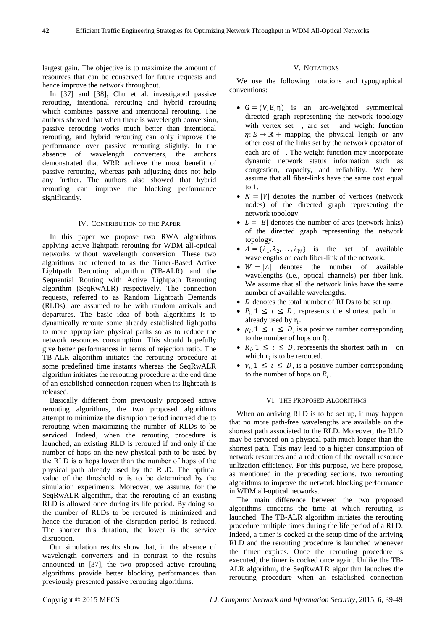largest gain. The objective is to maximize the amount of resources that can be conserved for future requests and hence improve the network throughput.

In [37] and [38], Chu et al. investigated passive rerouting, intentional rerouting and hybrid rerouting which combines passive and intentional rerouting. The authors showed that when there is wavelength conversion, passive rerouting works much better than intentional rerouting, and hybrid rerouting can only improve the performance over passive rerouting slightly. In the absence of wavelength converters, the authors demonstrated that WRR achieve the most benefit of passive rerouting, whereas path adjusting does not help any further. The authors also showed that hybrid rerouting can improve the blocking performance significantly.

## IV. CONTRIBUTION OF THE PAPER

In this paper we propose two RWA algorithms applying active lightpath rerouting for WDM all-optical networks without wavelength conversion. These two algorithms are referred to as the Timer-Based Active Lightpath Rerouting algorithm (TB-ALR) and the Sequential Routing with Active Lightpath Rerouting algorithm (SeqRwALR) respectively. The connection requests, referred to as Random Lightpath Demands (RLDs), are assumed to be with random arrivals and departures. The basic idea of both algorithms is to dynamically reroute some already established lightpaths to more appropriate physical paths so as to reduce the network resources consumption. This should hopefully give better performances in terms of rejection ratio. The TB-ALR algorithm initiates the rerouting procedure at some predefined time instants whereas the SeqRwALR algorithm initiates the rerouting procedure at the end time of an established connection request when its lightpath is released.

Basically different from previously proposed active rerouting algorithms, the two proposed algorithms attempt to minimize the disruption period incurred due to rerouting when maximizing the number of RLDs to be serviced. Indeed, when the rerouting procedure is launched, an existing RLD is rerouted if and only if the number of hops on the new physical path to be used by the RLD is  $\sigma$  hops lower than the number of hops of the physical path already used by the RLD. The optimal value of the threshold  $\sigma$  is to be determined by the simulation experiments. Moreover, we assume, for the SeqRwALR algorithm, that the rerouting of an existing RLD is allowed once during its life period. By doing so, the number of RLDs to be rerouted is minimized and hence the duration of the disruption period is reduced. The shorter this duration, the lower is the service disruption.

Our simulation results show that, in the absence of wavelength converters and in contrast to the results announced in [37], the two proposed active rerouting algorithms provide better blocking performances than previously presented passive rerouting algorithms.

## V. NOTATIONS

We use the following notations and typographical conventions:

- $G = (V, E, \eta)$  is an arc-weighted symmetrical directed graph representing the network topology with vertex set , arc set and weight function  $\eta: E \to \mathbb{R}$  + mapping the physical length or any other cost of the links set by the network operator of each arc of . The weight function may incorporate dynamic network status information such as congestion, capacity, and reliability. We here assume that all fiber-links have the same cost equal to 1.
- $N = |V|$  denotes the number of vertices (network nodes) of the directed graph representing the network topology.
- $L = |E|$  denotes the number of arcs (network links) of the directed graph representing the network topology.
- $\Lambda = {\lambda_1, \lambda_2, ..., \lambda_W}$  is the set of available wavelengths on each fiber-link of the network.
- $W = |A|$  denotes the number of available wavelengths (i.e., optical channels) per fiber-link. We assume that all the network links have the same number of available wavelengths.
- $\bullet$  *D* denotes the total number of RLDs to be set up.
- $P_i$ ,  $1 \le i \le D$ , represents the shortest path in already used by r<sub>i</sub>.
- $\mu_i$ ,  $1 \le i \le D$ , is a positive number corresponding to the number of hops on  $P_i$ .
- $R_i$ ,  $1 \le i \le D$ , represents the shortest path in on which  $r_i$  is to be rerouted.
- $v_i$ ,  $1 \le i \le D$ , is a positive number corresponding to the number of hops on  $R_i$ .

# VI. THE PROPOSED ALGORITHMS

When an arriving RLD is to be set up, it may happen that no more path-free wavelengths are available on the shortest path associated to the RLD. Moreover, the RLD may be serviced on a physical path much longer than the shortest path. This may lead to a higher consumption of network resources and a reduction of the overall resource utilization efficiency. For this purpose, we here propose, as mentioned in the preceding sections, two rerouting algorithms to improve the network blocking performance in WDM all-optical networks.

The main difference between the two proposed algorithms concerns the time at which rerouting is launched. The TB-ALR algorithm initiates the rerouting procedure multiple times during the life period of a RLD. Indeed, a timer is cocked at the setup time of the arriving RLD and the rerouting procedure is launched whenever the timer expires. Once the rerouting procedure is executed, the timer is cocked once again. Unlike the TB-ALR algorithm, the SeqRwALR algorithm launches the rerouting procedure when an established connection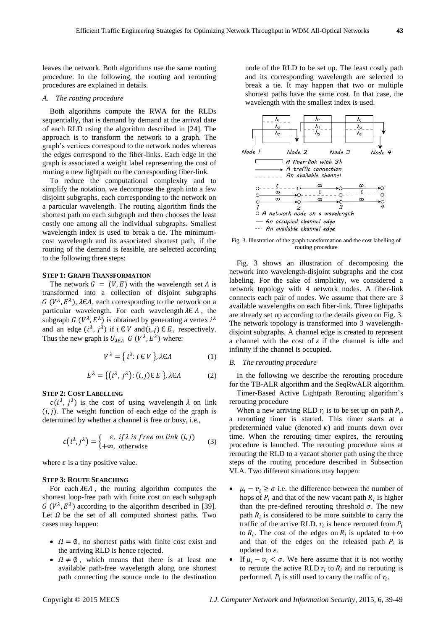leaves the network. Both algorithms use the same routing procedure. In the following, the routing and rerouting procedures are explained in details.

#### *A. The routing procedure*

Both algorithms compute the RWA for the RLDs sequentially, that is demand by demand at the arrival date of each RLD using the algorithm described in [24]. The approach is to transform the network to a graph. The graph's vertices correspond to the network nodes whereas the edges correspond to the fiber-links. Each edge in the graph is associated a weight label representing the cost of routing a new lightpath on the corresponding fiber-link.

To reduce the computational complexity and to simplify the notation, we decompose the graph into a few disjoint subgraphs, each corresponding to the network on a particular wavelength. The routing algorithm finds the shortest path on each subgraph and then chooses the least costly one among all the individual subgraphs. Smallest wavelength index is used to break a tie. The minimumcost wavelength and its associated shortest path, if the routing of the demand is feasible, are selected according to the following three steps:

## **STEP 1: GRAPH TRANSFORMATION**

The network  $G = (V, E)$  with the wavelength set  $\Lambda$  is transformed into a collection of disjoint subgraphs G ( $V^{\lambda}, E^{\lambda}$ ),  $\lambda \in \Lambda$ , each corresponding to the network on a particular wavelength. For each wavelength  $\lambda \in \Lambda$ , the subgraph G ( $V^{\lambda}$ ,  $E^{\lambda}$ ) is obtained by generating a vertex  $i^{\lambda}$ and an edge  $(i^{\lambda}, j^{\lambda})$  if  $i \in V$  and  $(i, j) \in E$ , respectively. Thus the new graph is  $U_{\lambda \in \Lambda}$  G ( $V^{\lambda}$ ,  $E^{\lambda}$ ) where:

$$
V^{\lambda} = \{ i^{\lambda} : i \in V \}, \lambda \in \Lambda \tag{1}
$$

$$
E^{\lambda} = \{ (i^{\lambda}, j^{\lambda}) : (i, j) \in E \}, \lambda \in \Lambda \tag{2}
$$

#### **STEP 2: COST LABELLING**

 $c(i^{\lambda}, j^{\lambda})$  is the cost of using wavelength  $\lambda$  on link  $(i, j)$ . The weight function of each edge of the graph is determined by whether a channel is free or busy, i.e.,

$$
c(i^{\lambda}, j^{\lambda}) = \begin{cases} \varepsilon, & \text{if } \lambda \text{ is free on link } (i, j) \\ +\infty, & \text{otherwise} \end{cases}
$$
 (3)

where  $\varepsilon$  is a tiny positive value.

#### **STEP 3: ROUTE SEARCHING**

For each  $\lambda \in \Lambda$ , the routing algorithm computes the shortest loop-free path with finite cost on each subgraph  $G(V^{\lambda}, E^{\lambda})$  according to the algorithm described in [39]. Let  $\Omega$  be the set of all computed shortest paths. Two cases may happen:

- $\Omega = \emptyset$ , no shortest paths with finite cost exist and the arriving RLD is hence rejected.
- $\Omega \neq \emptyset$ , which means that there is at least one available path-free wavelength along one shortest path connecting the source node to the destination

node of the RLD to be set up. The least costly path and its corresponding wavelength are selected to break a tie. It may happen that two or multiple shortest paths have the same cost. In that case, the wavelength with the smallest index is used.



Fig. 3. Illustration of the graph transformation and the cost labelling of routing procedure

Fig. 3 shows an illustration of decomposing the network into wavelength-disjoint subgraphs and the cost labeling. For the sake of simplicity, we considered a network topology with 4 network nodes. A fiber-link connects each pair of nodes. We assume that there are 3 available wavelengths on each fiber-link. Three lightpaths are already set up according to the details given on Fig. 3. The network topology is transformed into 3 wavelengthdisjoint subgraphs. A channel edge is created to represent a channel with the cost of  $\varepsilon$  if the channel is idle and infinity if the channel is occupied.

#### *B. The rerouting procedure*

In the following we describe the rerouting procedure for the TB-ALR algorithm and the SeqRwALR algorithm.

Timer-Based Active Lightpath Rerouting algorithm's rerouting procedure

When a new arriving RLD  $r_i$  is to be set up on path  $P_i$ , a rerouting timer is started. This timer starts at a predetermined value (denoted  $\kappa$ ) and counts down over time. When the rerouting timer expires, the rerouting procedure is launched. The rerouting procedure aims at rerouting the RLD to a vacant shorter path using the three steps of the routing procedure described in Subsection VI.A. Two different situations may happen:

- $\mu_i \nu_i \geq \sigma$  i.e. the difference between the number of hops of  $P_i$  and that of the new vacant path  $R_i$  is higher than the pre-defined rerouting threshold  $\sigma$ . The new path  $R_i$  is considered to be more suitable to carry the traffic of the active RLD.  $r_i$  is hence rerouted from to  $R_i$ . The cost of the edges on  $R_i$  is updated to and that of the edges on the released path  $P_i$  is updated to  $\varepsilon$ .
- If  $\mu_i \nu_i < \sigma$ . We here assume that it is not worthy to reroute the active RLD  $r_i$  to  $R_i$  and no rerouting is performed.  $P_i$  is still used to carry the traffic of  $r_i$ .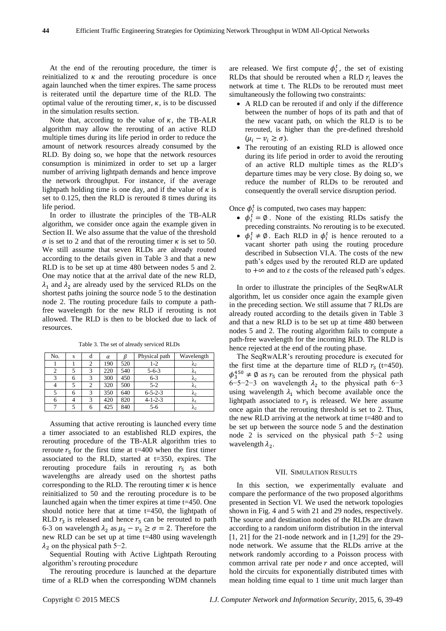At the end of the rerouting procedure, the timer is reinitialized to  $\kappa$  and the rerouting procedure is once again launched when the timer expires. The same process is reiterated until the departure time of the RLD. The optimal value of the rerouting timer,  $\kappa$ , is to be discussed in the simulation results section.

Note that, according to the value of  $\kappa$ , the TB-ALR algorithm may allow the rerouting of an active RLD multiple times during its life period in order to reduce the amount of network resources already consumed by the RLD. By doing so, we hope that the network resources consumption is minimized in order to set up a larger number of arriving lightpath demands and hence improve the network throughput. For instance, if the average lightpath holding time is one day, and if the value of  $\kappa$  is set to 0.125, then the RLD is rerouted 8 times during its life period.

In order to illustrate the principles of the TB-ALR algorithm, we consider once again the example given in Section II. We also assume that the value of the threshold  $\sigma$  is set to 2 and that of the rerouting timer  $\kappa$  is set to 50. We still assume that seven RLDs are already routed according to the details given in Table 3 and that a new RLD is to be set up at time 480 between nodes 5 and 2. One may notice that at the arrival date of the new RLD,  $\lambda_1$  and  $\lambda_2$  are already used by the serviced RLDs on the shortest paths joining the source node 5 to the destination node 2. The routing procedure fails to compute a pathfree wavelength for the new RLD if rerouting is not allowed. The RLD is then to be blocked due to lack of resources.

Table 3. The set of already serviced RLDs No. s d  $\alpha$   $\beta$  Physical path Wavelength

 $1 \mid 1 \mid 2 \mid 190 \mid 520 \mid 1-2 \mid \lambda_2$ 2 | 5 | 3 | 220 | 540 | 5-6-3 |  $\lambda_1$ 3 6 3 300 450 6-3  $\lambda_2$  $4 \mid 5 \mid 2 \mid 320 \mid 500 \mid 5-2 \mid \lambda_1$ 

|                                                                                 | 5                                                     | 6 | 3 | 350 | 640 | $6 - 5 - 2 - 3$ | $\lambda_2$   |  |  |
|---------------------------------------------------------------------------------|-------------------------------------------------------|---|---|-----|-----|-----------------|---------------|--|--|
|                                                                                 | 6                                                     | 4 | 3 | 420 | 820 | $4 - 1 - 2 - 3$ | $\lambda_{1}$ |  |  |
|                                                                                 | 7                                                     | 5 | 6 | 425 | 840 | $5-6$           | $\lambda_2$   |  |  |
|                                                                                 |                                                       |   |   |     |     |                 |               |  |  |
|                                                                                 | Assuming that active rerouting is launched every time |   |   |     |     |                 |               |  |  |
|                                                                                 | a timer associated to an established RLD expires, the |   |   |     |     |                 |               |  |  |
| rerouting procedure of the TB-ALR algorithm tries to                            |                                                       |   |   |     |     |                 |               |  |  |
| reroute $r_5$ for the first time at t=400 when the first timer                  |                                                       |   |   |     |     |                 |               |  |  |
| associated to the RLD, started at $t=350$ , expires. The                        |                                                       |   |   |     |     |                 |               |  |  |
| rerouting procedure fails in rerouting $r_5$ as both                            |                                                       |   |   |     |     |                 |               |  |  |
| wavelengths are already used on the shortest paths                              |                                                       |   |   |     |     |                 |               |  |  |
| corresponding to the RLD. The rerouting timer $\kappa$ is hence                 |                                                       |   |   |     |     |                 |               |  |  |
| reinitialized to 50 and the rerouting procedure is to be                        |                                                       |   |   |     |     |                 |               |  |  |
| launched again when the timer expires at time t=450. One                        |                                                       |   |   |     |     |                 |               |  |  |
| should notice here that at time $t=450$ , the lightpath of                      |                                                       |   |   |     |     |                 |               |  |  |
| RLD $r_3$ is released and hence $r_5$ can be rerouted to path                   |                                                       |   |   |     |     |                 |               |  |  |
| 6-3 on wavelength $\lambda_2$ as $\mu_5 - \nu_5 \ge \sigma = 2$ . Therefore the |                                                       |   |   |     |     |                 |               |  |  |
|                                                                                 | new RLD can be set up at time t=480 using wavelength  |   |   |     |     |                 |               |  |  |

Sequential Routing with Active Lightpath Rerouting algorithm's rerouting procedure

The rerouting procedure is launched at the departure time of a RLD when the corresponding WDM channels

are released. We first compute  $\phi_i^t$ , the set of existing RLDs that should be rerouted when a RLD  $r_i$  leaves the network at time t. The RLDs to be rerouted must meet simultaneously the following two constraints:

- A RLD can be rerouted if and only if the difference between the number of hops of its path and that of the new vacant path, on which the RLD is to be rerouted, is higher than the pre-defined threshold  $(\mu_i - \nu_i \ge \sigma).$
- The rerouting of an existing RLD is allowed once during its life period in order to avoid the rerouting of an active RLD multiple times as the RLD's departure times may be very close. By doing so, we reduce the number of RLDs to be rerouted and consequently the overall service disruption period.

Once  $\phi_i^t$  is computed, two cases may happen:

- $\phi_i^t = \emptyset$ . None of the existing RLDs satisfy the preceding constraints. No rerouting is to be executed.
- $\phi_i^t \neq \emptyset$ . Each RLD in  $\phi_i^t$  is hence rerouted to a vacant shorter path using the routing procedure described in Subsection VI.A. The costs of the new path's edges used by the rerouted RLD are updated to  $+\infty$  and to  $\varepsilon$  the costs of the released path's edges.

In order to illustrate the principles of the SeqRwALR algorithm, let us consider once again the example given in the preceding section. We still assume that 7 RLDs are already routed according to the details given in Table 3 and that a new RLD is to be set up at time 480 between nodes 5 and 2. The routing algorithm fails to compute a path-free wavelength for the incoming RLD. The RLD is hence rejected at the end of the routing phase.

The SeqRwALR's rerouting procedure is executed for the first time at the departure time of RLD  $r_3$  (t=450).  $\phi_3^{450} \neq \emptyset$  as  $r_5$  can be rerouted from the physical path 6–5–2–3 on wavelength  $\lambda_2$  to the physical path 6–3 using wavelength  $\lambda_1$  which become available once the lightpath associated to  $r_3$  is released. We here assume once again that the rerouting threshold is set to 2. Thus, the new RLD arriving at the network at time t=480 and to be set up between the source node 5 and the destination node 2 is serviced on the physical path 5−2 using wavelength  $\lambda_2$ .

## VII. SIMULATION RESULTS

In this section, we experimentally evaluate and compare the performance of the two proposed algorithms presented in Section VI. We used the network topologies shown in Fig. 4 and 5 with 21 and 29 nodes, respectively. The source and destination nodes of the RLDs are drawn according to a random uniform distribution in the interval [1, 21] for the 21-node network and in [1,29] for the 29 node network. We assume that the RLDs arrive at the network randomly according to a Poisson process with common arrival rate per node  $r$  and once accepted, will hold the circuits for exponentially distributed times with mean holding time equal to 1 time unit much larger than

 $\lambda_2$  on the physical path 5−2.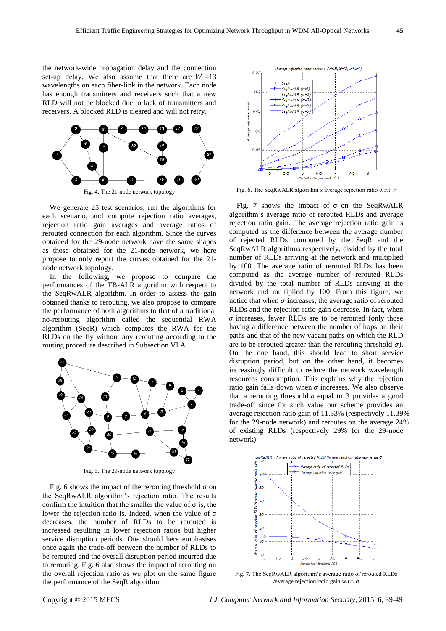the network-wide propagation delay and the connection set-up delay. We also assume that there are  $W=13$ wavelengths on each fiber-link in the network. Each node has enough transmitters and receivers such that a new RLD will not be blocked due to lack of transmitters and receivers. A blocked RLD is cleared and will not retry.



Fig. 4. The 21-node network topology

We generate 25 test scenarios, run the algorithms for each scenario, and compute rejection ratio averages, rejection ratio gain averages and average ratios of rerouted connection for each algorithm. Since the curves obtained for the 29-node network have the same shapes as those obtained for the 21-node network, we here propose to only report the curves obtained for the 21 node network topology.

In the following, we propose to compare the performances of the TB-ALR algorithm with respect to the SeqRwALR algorithm. In order to assess the gain obtained thanks to rerouting, we also propose to compare the performance of both algorithms to that of a traditional no-rerouting algorithm called the sequential RWA algorithm (SeqR) which computes the RWA for the RLDs on the fly without any rerouting according to the routing procedure described in Subsection VI.A.



Fig. 5. The 29-node network topology

Fig. 6 shows the impact of the rerouting threshold  $\sigma$  on the SeqRwALR algorithm's rejection ratio. The results confirm the intuition that the smaller the value of  $\sigma$  is, the lower the rejection ratio is. Indeed, when the value of  $\sigma$ decreases, the number of RLDs to be rerouted is increased resulting in lower rejection ratios but higher service disruption periods. One should here emphasises once again the trade-off between the number of RLDs to be rerouted and the overall disruption period incurred due to rerouting. Fig. 6 also shows the impact of rerouting on the overall rejection ratio as we plot on the same figure the performance of the SeqR algorithm.



Fig. 6. The SeqRwALR algorithm's average rejection ratio w.r.t.

Fig. 7 shows the impact of  $\sigma$  on the SeqRwALR algorithm's average ratio of rerouted RLDs and average rejection ratio gain. The average rejection ratio gain is computed as the difference between the average number of rejected RLDs computed by the SeqR and the SeqRwALR algorithms respectively, divided by the total number of RLDs arriving at the network and multiplied by 100. The average ratio of rerouted RLDs has been computed as the average number of rerouted RLDs divided by the total number of RLDs arriving at the network and multiplied by 100. From this figure, we notice that when  $\sigma$  increases, the average ratio of rerouted RLDs and the rejection ratio gain decrease. In fact, when  $\sigma$  increases, fewer RLDs are to be rerouted (only those having a difference between the number of hops on their paths and that of the new vacant paths on which the RLD are to be rerouted greater than the rerouting threshold  $\sigma$ ). On the one hand, this should lead to short service disruption period, but on the other hand, it becomes increasingly difficult to reduce the network wavelength resources consumption. This explains why the rejection ratio gain falls down when  $\sigma$  increases. We also observe that a rerouting threshold  $\sigma$  equal to 3 provides a good trade-off since for such value our scheme provides an average rejection ratio gain of 11.33% (respectively 11.39% for the 29-node network) and reroutes on the average 24% of existing RLDs (respectively 29% for the 29-node network).



Fig. 7. The SeqRwALR algorithm's average ratio of rerouted RLDs /average rejection ratio gain w.r.t.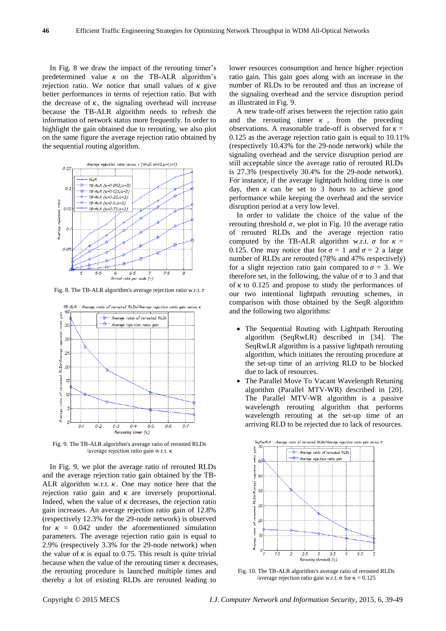In Fig. 8 we draw the impact of the rerouting timer's predetermined value  $\kappa$  on the TB-ALR algorithm's rejection ratio. We notice that small values of  $\kappa$  give better performances in terms of rejection ratio. But with the decrease of  $\kappa$ , the signaling overhead will increase because the TB-ALR algorithm needs to refresh the information of network status more frequently. In order to highlight the gain obtained due to rerouting, we also plot on the same figure the average rejection ratio obtained by the sequential routing algorithm.



Fig. 8. The TB-ALR algorithm's average rejection ratio w.r.t. r



Fig. 9. The TB-ALR algorithm's average ratio of rerouted RLDs /average rejection ratio gain w.r.t. κ

In Fig. 9, we plot the average ratio of rerouted RLDs and the average rejection ratio gain obtained by the TB-ALR algorithm w.r.t.  $\kappa$ . One may notice here that the rejection ratio gain and  $\kappa$  are inversely proportional. Indeed, when the value of  $\kappa$  decreases, the rejection ratio gain increases. An average rejection ratio gain of 12.8% (respectively 12.3% for the 29-node network) is observed for  $\kappa = 0.042$  under the aforementioned simulation parameters. The average rejection ratio gain is equal to 2.9% (respectively 3.3% for the 29-node network) when the value of  $\kappa$  is equal to 0.75. This result is quite trivial because when the value of the rerouting timer  $\kappa$  decreases, the rerouting procedure is launched multiple times and thereby a lot of existing RLDs are rerouted leading to

lower resources consumption and hence higher rejection ratio gain. This gain goes along with an increase in the number of RLDs to be rerouted and thus an increase of the signaling overhead and the service disruption period as illustrated in Fig. 9.

A new trade-off arises between the rejection ratio gain and the rerouting timer  $\kappa$ , from the preceding observations. A reasonable trade-off is observed for  $\kappa =$ 0.125 as the average rejection ratio gain is equal to 10.11% (respectively 10.43% for the 29-node network) while the signaling overhead and the service disruption period are still acceptable since the average ratio of rerouted RLDs is 27.3% (respectively 30.4% for the 29-node network). For instance, if the average lightpath holding time is one day, then  $\kappa$  can be set to 3 hours to achieve good performance while keeping the overhead and the service disruption period at a very low level.

In order to validate the choice of the value of the rerouting threshold  $\sigma$ , we plot in Fig. 10 the average ratio of rerouted RLDs and the average rejection ratio computed by the TB-ALR algorithm w.r.t.  $\sigma$  for  $\kappa =$ 0.125. One may notice that for  $\sigma = 1$  and  $\sigma = 2$  a large number of RLDs are rerouted (78% and 47% respectively) for a slight rejection ratio gain compared to  $\sigma = 3$ . We therefore set, in the following, the value of  $\sigma$  to 3 and that of  $\kappa$  to 0.125 and propose to study the performances of our two intentional lightpath rerouting schemes, in comparison with those obtained by the SeqR algorithm and the following two algorithms:

- The Sequential Routing with Lightpath Rerouting algorithm (SeqRwLR) described in [34]. The SeqRwLR algorithm is a passive lightpath rerouting algorithm, which initiates the rerouting procedure at the set-up time of an arriving RLD to be blocked due to lack of resources.
- The Parallel Move To Vacant Wavelength Retuning algorithm (Parallel MTV-WR) described in [20]. The Parallel MTV-WR algorithm is a passive wavelength rerouting algorithm that performs wavelength rerouting at the set-up time of an arriving RLD to be rejected due to lack of resources.



Fig. 10. The TB-ALR algorithm's average ratio of rerouted RLDs /average rejection ratio gain w.r.t.  $\sigma$  for  $\kappa = 0.125$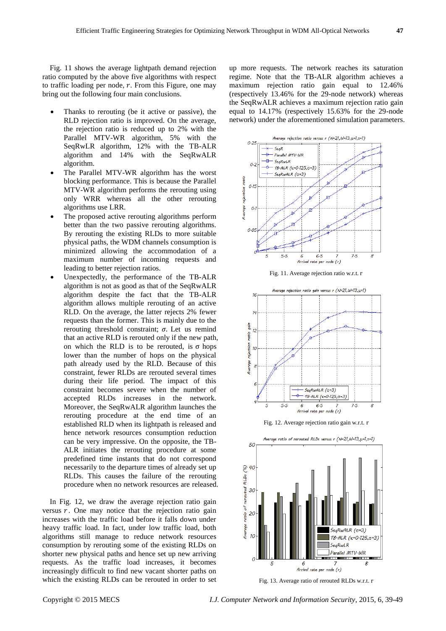Fig. 11 shows the average lightpath demand rejection ratio computed by the above five algorithms with respect to traffic loading per node,  $r$ . From this Figure, one may bring out the following four main conclusions.

- Thanks to rerouting (be it active or passive), the RLD rejection ratio is improved. On the average, the rejection ratio is reduced up to 2% with the Parallel MTV-WR algorithm, 5% with the SeqRwLR algorithm, 12% with the TB-ALR algorithm and 14% with the SeqRwALR algorithm.
- The Parallel MTV-WR algorithm has the worst blocking performance. This is because the Parallel MTV-WR algorithm performs the rerouting using only WRR whereas all the other rerouting algorithms use LRR.
- The proposed active rerouting algorithms perform better than the two passive rerouting algorithms. By rerouting the existing RLDs to more suitable physical paths, the WDM channels consumption is minimized allowing the accommodation of a maximum number of incoming requests and leading to better rejection ratios.
- Unexpectedly, the performance of the TB-ALR algorithm is not as good as that of the SeqRwALR algorithm despite the fact that the TB-ALR algorithm allows multiple rerouting of an active RLD. On the average, the latter rejects 2% fewer requests than the former. This is mainly due to the rerouting threshold constraint;  $\sigma$ . Let us remind that an active RLD is rerouted only if the new path, on which the RLD is to be rerouted, is  $\sigma$  hops lower than the number of hops on the physical path already used by the RLD. Because of this constraint, fewer RLDs are rerouted several times during their life period. The impact of this constraint becomes severe when the number of accepted RLDs increases in the network. Moreover, the SeqRwALR algorithm launches the rerouting procedure at the end time of an established RLD when its lightpath is released and hence network resources consumption reduction can be very impressive. On the opposite, the TB-ALR initiates the rerouting procedure at some predefined time instants that do not correspond necessarily to the departure times of already set up RLDs. This causes the failure of the rerouting procedure when no network resources are released.

In Fig. 12, we draw the average rejection ratio gain versus  $r$ . One may notice that the rejection ratio gain increases with the traffic load before it falls down under heavy traffic load. In fact, under low traffic load, both algorithms still manage to reduce network resources consumption by rerouting some of the existing RLDs on shorter new physical paths and hence set up new arriving requests. As the traffic load increases, it becomes increasingly difficult to find new vacant shorter paths on which the existing RLDs can be rerouted in order to set up more requests. The network reaches its saturation regime. Note that the TB-ALR algorithm achieves a maximum rejection ratio gain equal to 12.46% (respectively 13.46% for the 29-node network) whereas the SeqRwALR achieves a maximum rejection ratio gain equal to 14.17% (respectively 15.63% for the 29-node network) under the aforementioned simulation parameters.



Arrival rate per node (r) Fig. 13. Average ratio of rerouted RLDs w.r.t.

8

Copyright © 2015 MECS *I.J. Computer Network and Information Security,* 2015, 6, 39-49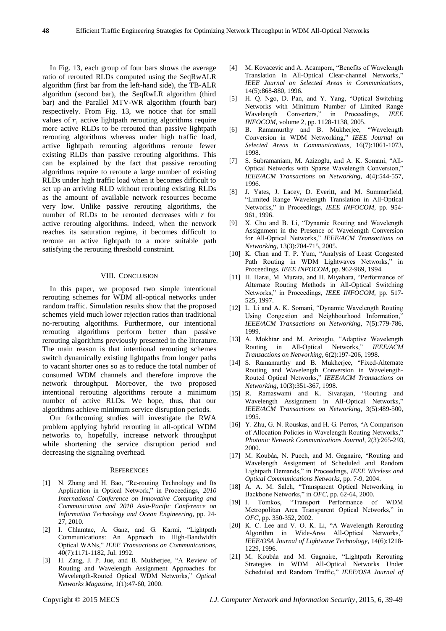In Fig. 13, each group of four bars shows the average ratio of rerouted RLDs computed using the SeqRwALR algorithm (first bar from the left-hand side), the TB-ALR algorithm (second bar), the SeqRwLR algorithm (third bar) and the Parallel MTV-WR algorithm (fourth bar) respectively. From Fig. 13, we notice that for small values of  $r$ , active lightpath rerouting algorithms require more active RLDs to be rerouted than passive lightpath rerouting algorithms whereas under high traffic load, active lightpath rerouting algorithms reroute fewer existing RLDs than passive rerouting algorithms. This can be explained by the fact that passive rerouting algorithms require to reroute a large number of existing RLDs under high traffic load when it becomes difficult to set up an arriving RLD without rerouting existing RLDs as the amount of available network resources become very low. Unlike passive rerouting algorithms, the number of RLDs to be rerouted decreases with  $r$  for active rerouting algorithms. Indeed, when the network reaches its saturation regime, it becomes difficult to reroute an active lightpath to a more suitable path satisfying the rerouting threshold constraint.

#### VIII. CONCLUSION

In this paper, we proposed two simple intentional rerouting schemes for WDM all-optical networks under random traffic. Simulation results show that the proposed schemes yield much lower rejection ratios than traditional no-rerouting algorithms. Furthermore, our intentional rerouting algorithms perform better than passive rerouting algorithms previously presented in the literature. The main reason is that intentional rerouting schemes switch dynamically existing lightpaths from longer paths to vacant shorter ones so as to reduce the total number of consumed WDM channels and therefore improve the network throughput. Moreover, the two proposed intentional rerouting algorithms reroute a minimum number of active RLDs. We hope, thus, that our algorithms achieve minimum service disruption periods.

Our forthcoming studies will investigate the RWA problem applying hybrid rerouting in all-optical WDM networks to, hopefully, increase network throughput while shortening the service disruption period and decreasing the signaling overhead.

#### **REFERENCES**

- [1] N. Zhang and H. Bao, "Re-routing Technology and Its Application in Optical Network," in Proceedings, *2010 International Conference on Innovative Computing and Communication and 2010 Asia-Pacific Conference on Information Technology and Ocean Engineering*, pp. 24- 27, 2010.
- [2] I. Chlamtac, A. Ganz, and G. Karmi, "Lightpath Communications: An Approach to High-Bandwidth Optical WANs," *IEEE Transactions on Communications*, 40(7):1171-1182, Jul. 1992.
- [3] H. Zang, J. P. Jue, and B. Mukherjee, "A Review of Routing and Wavelength Assignment Approaches for Wavelength-Routed Optical WDM Networks," *Optical Networks Magazine*, 1(1):47-60, 2000.
- [4] M. Kovacevic and A. Acampora, "Benefits of Wavelength Translation in All-Optical Clear-channel Networks,' *IEEE Journal on Selected Areas in Communications*, 14(5):868-880, 1996.
- [5] H. Q. Ngo, D. Pan, and Y. Yang, "Optical Switching Networks with Minimum Number of Limited Range Wavelength Converters," in Proceedings, *IEEE INFOCOM*, volume 2, pp. 1128-1138, 2005.
- [6] B. Ramamurthy and B. Mukherjee, "Wavelength Conversion in WDM Networking," *IEEE Journal on Selected Areas in Communications*, 16(7):1061-1073, 1998.
- [7] S. Subramaniam, M. Azizoglu, and A. K. Somani, "All-Optical Networks with Sparse Wavelength Conversion," *IEEE/ACM Transactions on Networking*, 4(4):544-557, 1996.
- [8] J. Yates, J. Lacey, D. Everitt, and M. Summerfield, "Limited Range Wavelength Translation in All-Optical Networks," in Proceedings, *IEEE INFOCOM*, pp. 954- 961, 1996.
- [9] X. Chu and B. Li, "Dynamic Routing and Wavelength Assignment in the Presence of Wavelength Conversion for All-Optical Networks," *IEEE/ACM Transactions on Networking*, 13(3):704-715, 2005.
- [10] K. Chan and T. P. Yum, "Analysis of Least Congested Path Routing in WDM Lightwaves Networks," in Proceedings, *IEEE INFOCOM*, pp. 962-969, 1994.
- [11] H. Harai, M. Murata, and H. Miyahara, "Performance of Alternate Routing Methods in All-Optical Switching Networks," in Proceedings, *IEEE INFOCOM*, pp. 517- 525, 1997.
- [12] L. Li and A. K. Somani, "Dynamic Wavelength Routing Using Congestion and Neighbourhood Information," *IEEE/ACM Transactions on Networking*, 7(5):779-786, 1999.
- [13] A. Mokhtar and M. Azizoglu, "Adaptive Wavelength Routing in All-Optical Networks," *IEEE/ACM Transactions on Networking*, 6(2):197-206, 1998.
- [14] S. Ramamurthy and B. Mukherjee, "Fixed-Alternate Routing and Wavelength Conversion in Wavelength-Routed Optical Networks," *IEEE/ACM Transactions on Networking*, 10(3):351-367, 1998.
- [15] R. Ramaswami and K. Sivarajan, "Routing and Wavelength Assignment in All-Optical Networks," *IEEE/ACM Transactions on Networking*, 3(5):489-500, 1995.
- [16] Y. Zhu, G. N. Rouskas, and H. G. Perros, "A Comparison of Allocation Policies in Wavelength Routing Networks," *Photonic Network Communications Journal*, 2(3):265-293, 2000.
- [17] M. Koubàa, N. Puech, and M. Gagnaire, "Routing and Wavelength Assignment of Scheduled and Random Lightpath Demands," in Proceedings, *IEEE Wireless and Optical Communications Networks*, pp. 7-9, 2004.
- [18] A. A. M. Saleh, "Transparent Optical Networking in Backbone Networks," in *OFC*, pp. 62-64, 2000.
- [19] I. Tomkos, "Transport Performance of WDM Metropolitan Area Transparent Optical Networks," in *OFC*, pp. 350-352, 2002.
- [20] K. C. Lee and V. O. K. Li, "A Wavelength Rerouting Algorithm in Wide-Area All-Optical Networks, *IEEE/OSA Journal of Lightwave Technology*, 14(6):1218- 1229, 1996.
- [21] M. Koubàa and M. Gagnaire, "Lightpath Rerouting Strategies in WDM All-Optical Networks Under Scheduled and Random Traffic," *IEEE/OSA Journal of*